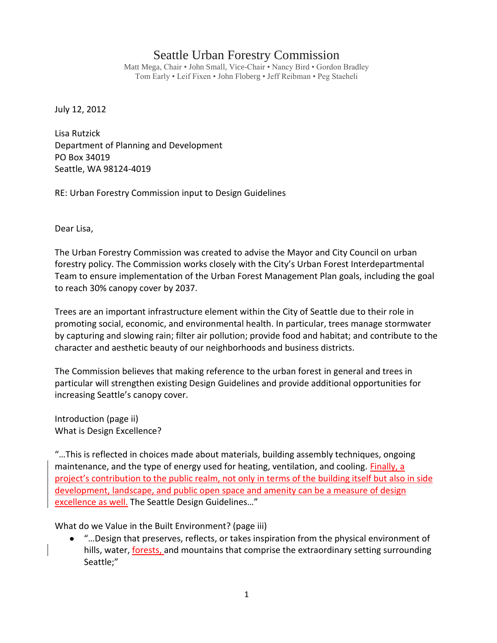## Seattle Urban Forestry Commission

Matt Mega, Chair • John Small, Vice-Chair • Nancy Bird • Gordon Bradley Tom Early • Leif Fixen • John Floberg • Jeff Reibman • Peg Staeheli

July 12, 2012

Lisa Rutzick Department of Planning and Development PO Box 34019 Seattle, WA 98124-4019

RE: Urban Forestry Commission input to Design Guidelines

Dear Lisa,

The Urban Forestry Commission was created to advise the Mayor and City Council on urban forestry policy. The Commission works closely with the City's Urban Forest Interdepartmental Team to ensure implementation of the Urban Forest Management Plan goals, including the goal to reach 30% canopy cover by 2037.

Trees are an important infrastructure element within the City of Seattle due to their role in promoting social, economic, and environmental health. In particular, trees manage stormwater by capturing and slowing rain; filter air pollution; provide food and habitat; and contribute to the character and aesthetic beauty of our neighborhoods and business districts.

The Commission believes that making reference to the urban forest in general and trees in particular will strengthen existing Design Guidelines and provide additional opportunities for increasing Seattle's canopy cover.

Introduction (page ii) What is Design Excellence?

"…This is reflected in choices made about materials, building assembly techniques, ongoing maintenance, and the type of energy used for heating, ventilation, and cooling. Finally, a project's contribution to the public realm, not only in terms of the building itself but also in side development, landscape, and public open space and amenity can be a measure of design excellence as well. The Seattle Design Guidelines…"

What do we Value in the Built Environment? (page iii)

"…Design that preserves, reflects, or takes inspiration from the physical environment of hills, water, forests, and mountains that comprise the extraordinary setting surrounding Seattle;"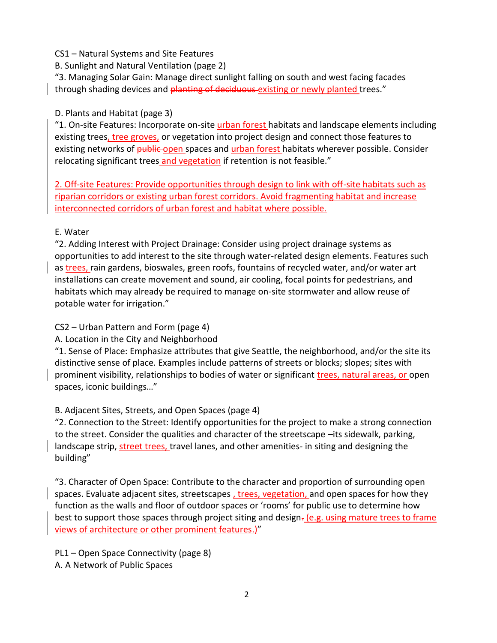## CS1 – Natural Systems and Site Features

B. Sunlight and Natural Ventilation (page 2)

"3. Managing Solar Gain: Manage direct sunlight falling on south and west facing facades through shading devices and planting of deciduous existing or newly planted trees."

## D. Plants and Habitat (page 3)

"1. On-site Features: Incorporate on-site urban forest habitats and landscape elements including existing trees, tree groves, or vegetation into project design and connect those features to existing networks of **public-open** spaces and urban forest habitats wherever possible. Consider relocating significant trees and vegetation if retention is not feasible."

2. Off-site Features: Provide opportunities through design to link with off-site habitats such as riparian corridors or existing urban forest corridors. Avoid fragmenting habitat and increase interconnected corridors of urban forest and habitat where possible.

## E. Water

"2. Adding Interest with Project Drainage: Consider using project drainage systems as opportunities to add interest to the site through water-related design elements. Features such as trees, rain gardens, bioswales, green roofs, fountains of recycled water, and/or water art installations can create movement and sound, air cooling, focal points for pedestrians, and habitats which may already be required to manage on-site stormwater and allow reuse of potable water for irrigation."

CS2 – Urban Pattern and Form (page 4)

A. Location in the City and Neighborhood

"1. Sense of Place: Emphasize attributes that give Seattle, the neighborhood, and/or the site its distinctive sense of place. Examples include patterns of streets or blocks; slopes; sites with prominent visibility, relationships to bodies of water or significant *trees*, natural areas, or open spaces, iconic buildings…"

B. Adjacent Sites, Streets, and Open Spaces (page 4)

"2. Connection to the Street: Identify opportunities for the project to make a strong connection to the street. Consider the qualities and character of the streetscape –its sidewalk, parking, landscape strip, street trees, travel lanes, and other amenities- in siting and designing the building"

"3. Character of Open Space: Contribute to the character and proportion of surrounding open spaces. Evaluate adjacent sites, streetscapes , trees, vegetation, and open spaces for how they function as the walls and floor of outdoor spaces or 'rooms' for public use to determine how best to support those spaces through project siting and design-(e.g. using mature trees to frame views of architecture or other prominent features.)"

PL1 – Open Space Connectivity (page 8) A. A Network of Public Spaces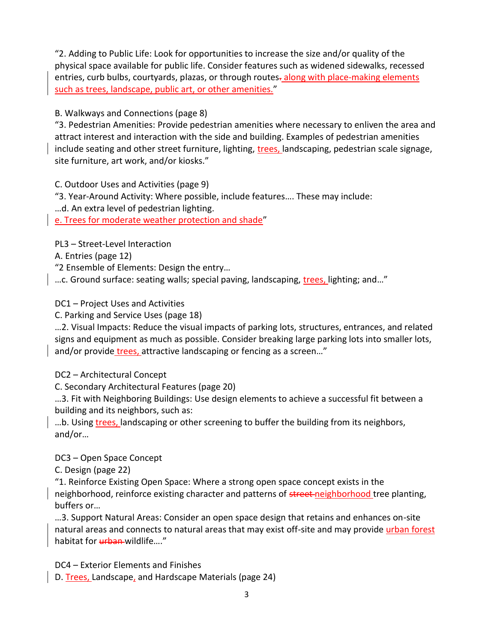"2. Adding to Public Life: Look for opportunities to increase the size and/or quality of the physical space available for public life. Consider features such as widened sidewalks, recessed entries, curb bulbs, courtyards, plazas, or through routes-along with place-making elements such as trees, landscape, public art, or other amenities."

B. Walkways and Connections (page 8)

"3. Pedestrian Amenities: Provide pedestrian amenities where necessary to enliven the area and attract interest and interaction with the side and building. Examples of pedestrian amenities include seating and other street furniture, lighting, trees, landscaping, pedestrian scale signage, site furniture, art work, and/or kiosks."

C. Outdoor Uses and Activities (page 9)

"3. Year-Around Activity: Where possible, include features…. These may include:

…d. An extra level of pedestrian lighting.

e. Trees for moderate weather protection and shade"

PL3 – Street-Level Interaction

A. Entries (page 12)

"2 Ensemble of Elements: Design the entry…

…c. Ground surface: seating walls; special paving, landscaping, trees, lighting; and…"

DC1 – Project Uses and Activities

C. Parking and Service Uses (page 18)

…2. Visual Impacts: Reduce the visual impacts of parking lots, structures, entrances, and related signs and equipment as much as possible. Consider breaking large parking lots into smaller lots, and/or provide trees, attractive landscaping or fencing as a screen…"

DC2 – Architectural Concept

C. Secondary Architectural Features (page 20)

…3. Fit with Neighboring Buildings: Use design elements to achieve a successful fit between a building and its neighbors, such as:

...b. Using trees, landscaping or other screening to buffer the building from its neighbors, and/or…

DC3 – Open Space Concept

C. Design (page 22)

"1. Reinforce Existing Open Space: Where a strong open space concept exists in the

neighborhood, reinforce existing character and patterns of street-neighborhood tree planting, buffers or…

…3. Support Natural Areas: Consider an open space design that retains and enhances on-site natural areas and connects to natural areas that may exist off-site and may provide *urban forest* habitat for urban wildlife...."

DC4 – Exterior Elements and Finishes

D. Trees, Landscape, and Hardscape Materials (page 24)